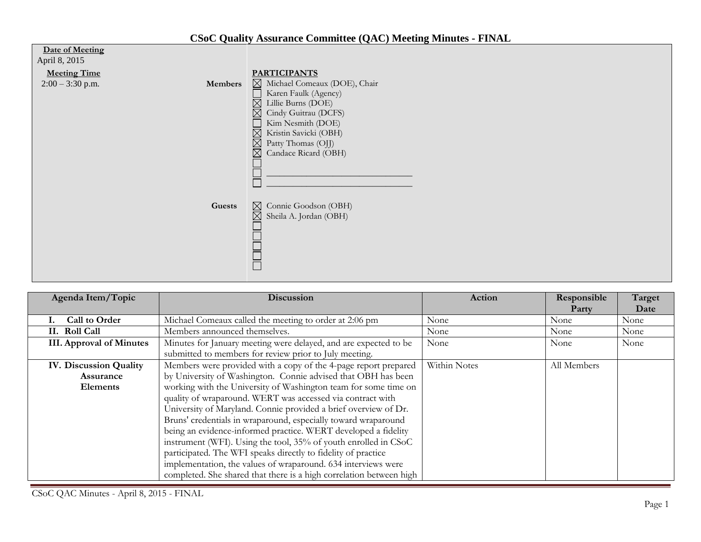| Date of Meeting<br>April 8, 2015<br><b>Meeting Time</b><br>$2:00 - 3:30$ p.m. | <b>Members</b> | <b>PARTICIPANTS</b><br>$\boxtimes$ Michael Comeaux (DOE), Chair<br>Karen Faulk (Agency)<br>Lillie Burns (DOE)<br>Cindy Guitrau (DCFS)<br>Kim Nesmith (DOE)<br>Kristin Savicki (OBH)<br>IX<br>Patty Thomas (OJJ) |
|-------------------------------------------------------------------------------|----------------|-----------------------------------------------------------------------------------------------------------------------------------------------------------------------------------------------------------------|
|                                                                               | Guests         | $\boxtimes$<br>Candace Ricard (OBH)<br>Connie Goodson (OBH)<br>$\boxtimes$<br>Sheila A. Jordan (OBH)<br>$\bowtie$                                                                                               |

| Agenda Item/Topic               | <b>Discussion</b>                                                   | Action       | Responsible | Target |
|---------------------------------|---------------------------------------------------------------------|--------------|-------------|--------|
|                                 |                                                                     |              | Party       | Date   |
| Call to Order                   | Michael Comeaux called the meeting to order at 2:06 pm              | None         | None        | None   |
| II. Roll Call                   | Members announced themselves.                                       | None         | None        | None   |
| <b>III. Approval of Minutes</b> | Minutes for January meeting were delayed, and are expected to be    | None         | None        | None   |
|                                 | submitted to members for review prior to July meeting.              |              |             |        |
| <b>IV. Discussion Quality</b>   | Members were provided with a copy of the 4-page report prepared     | Within Notes | All Members |        |
| <b>Assurance</b>                | by University of Washington. Connie advised that OBH has been       |              |             |        |
| <b>Elements</b>                 | working with the University of Washington team for some time on     |              |             |        |
|                                 | quality of wraparound. WERT was accessed via contract with          |              |             |        |
|                                 | University of Maryland. Connie provided a brief overview of Dr.     |              |             |        |
|                                 | Bruns' credentials in wraparound, especially toward wraparound      |              |             |        |
|                                 | being an evidence-informed practice. WERT developed a fidelity      |              |             |        |
|                                 | instrument (WFI). Using the tool, 35% of youth enrolled in CSoC     |              |             |        |
|                                 | participated. The WFI speaks directly to fidelity of practice       |              |             |        |
|                                 | implementation, the values of wraparound. 634 interviews were       |              |             |        |
|                                 | completed. She shared that there is a high correlation between high |              |             |        |

CSoC QAC Minutes - April 8, 2015 - FINAL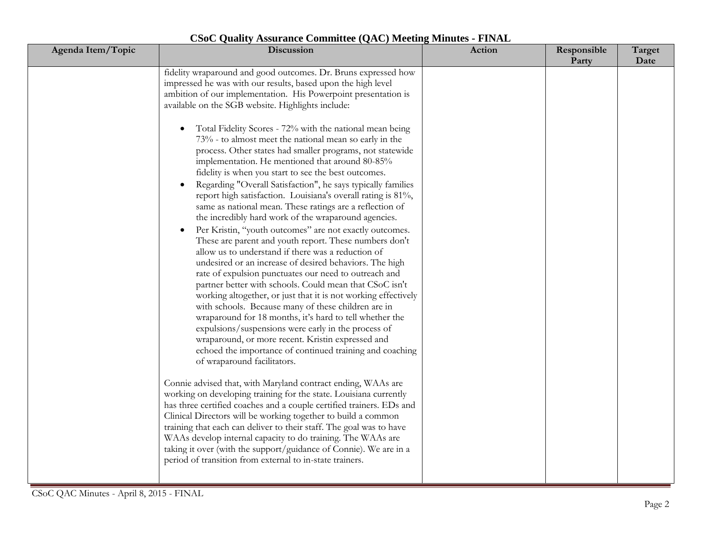| Agenda Item/Topic | Discussion                                                                                                                                                                                                                                                                                                                                                                                                                                                                                                                                                                                                                                                                                                                                                                                                                                                                                                                                                                                                                                                                                                                                                                                                                                                                                                                                                                                                                                                                                                                                                                                                                                                                                                                                                                                                                                                                                                                                                                                                                                                                                                                     | Action | Responsible<br>Party | Target<br>Date |
|-------------------|--------------------------------------------------------------------------------------------------------------------------------------------------------------------------------------------------------------------------------------------------------------------------------------------------------------------------------------------------------------------------------------------------------------------------------------------------------------------------------------------------------------------------------------------------------------------------------------------------------------------------------------------------------------------------------------------------------------------------------------------------------------------------------------------------------------------------------------------------------------------------------------------------------------------------------------------------------------------------------------------------------------------------------------------------------------------------------------------------------------------------------------------------------------------------------------------------------------------------------------------------------------------------------------------------------------------------------------------------------------------------------------------------------------------------------------------------------------------------------------------------------------------------------------------------------------------------------------------------------------------------------------------------------------------------------------------------------------------------------------------------------------------------------------------------------------------------------------------------------------------------------------------------------------------------------------------------------------------------------------------------------------------------------------------------------------------------------------------------------------------------------|--------|----------------------|----------------|
|                   | fidelity wraparound and good outcomes. Dr. Bruns expressed how<br>impressed he was with our results, based upon the high level<br>ambition of our implementation. His Powerpoint presentation is<br>available on the SGB website. Highlights include:<br>Total Fidelity Scores - 72% with the national mean being<br>$\bullet$<br>73% - to almost meet the national mean so early in the<br>process. Other states had smaller programs, not statewide<br>implementation. He mentioned that around 80-85%<br>fidelity is when you start to see the best outcomes.<br>Regarding "Overall Satisfaction", he says typically families<br>report high satisfaction. Louisiana's overall rating is 81%,<br>same as national mean. These ratings are a reflection of<br>the incredibly hard work of the wraparound agencies.<br>Per Kristin, "youth outcomes" are not exactly outcomes.<br>These are parent and youth report. These numbers don't<br>allow us to understand if there was a reduction of<br>undesired or an increase of desired behaviors. The high<br>rate of expulsion punctuates our need to outreach and<br>partner better with schools. Could mean that CSoC isn't<br>working altogether, or just that it is not working effectively<br>with schools. Because many of these children are in<br>wraparound for 18 months, it's hard to tell whether the<br>expulsions/suspensions were early in the process of<br>wraparound, or more recent. Kristin expressed and<br>echoed the importance of continued training and coaching<br>of wraparound facilitators.<br>Connie advised that, with Maryland contract ending, WAAs are<br>working on developing training for the state. Louisiana currently<br>has three certified coaches and a couple certified trainers. EDs and<br>Clinical Directors will be working together to build a common<br>training that each can deliver to their staff. The goal was to have<br>WAAs develop internal capacity to do training. The WAAs are<br>taking it over (with the support/guidance of Connie). We are in a<br>period of transition from external to in-state trainers. |        |                      |                |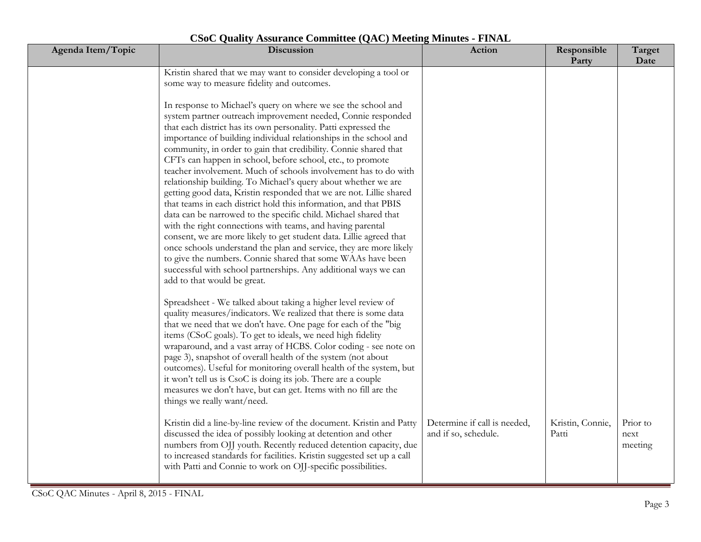| Agenda Item/Topic | Discussion                                                                                                                                                                                                                                                                                                                                                                                                                                                                                                                                                                                                                                                                                                                  | Action                                               | Responsible<br>Party      | Target<br>Date              |
|-------------------|-----------------------------------------------------------------------------------------------------------------------------------------------------------------------------------------------------------------------------------------------------------------------------------------------------------------------------------------------------------------------------------------------------------------------------------------------------------------------------------------------------------------------------------------------------------------------------------------------------------------------------------------------------------------------------------------------------------------------------|------------------------------------------------------|---------------------------|-----------------------------|
|                   | Kristin shared that we may want to consider developing a tool or<br>some way to measure fidelity and outcomes.<br>In response to Michael's query on where we see the school and<br>system partner outreach improvement needed, Connie responded<br>that each district has its own personality. Patti expressed the<br>importance of building individual relationships in the school and<br>community, in order to gain that credibility. Connie shared that<br>CFTs can happen in school, before school, etc., to promote                                                                                                                                                                                                   |                                                      |                           |                             |
|                   | teacher involvement. Much of schools involvement has to do with<br>relationship building. To Michael's query about whether we are<br>getting good data, Kristin responded that we are not. Lillie shared<br>that teams in each district hold this information, and that PBIS<br>data can be narrowed to the specific child. Michael shared that<br>with the right connections with teams, and having parental<br>consent, we are more likely to get student data. Lillie agreed that<br>once schools understand the plan and service, they are more likely<br>to give the numbers. Connie shared that some WAAs have been<br>successful with school partnerships. Any additional ways we can<br>add to that would be great. |                                                      |                           |                             |
|                   | Spreadsheet - We talked about taking a higher level review of<br>quality measures/indicators. We realized that there is some data<br>that we need that we don't have. One page for each of the "big<br>items (CSoC goals). To get to ideals, we need high fidelity<br>wraparound, and a vast array of HCBS. Color coding - see note on<br>page 3), snapshot of overall health of the system (not about<br>outcomes). Useful for monitoring overall health of the system, but<br>it won't tell us is CsoC is doing its job. There are a couple<br>measures we don't have, but can get. Items with no fill are the<br>things we really want/need.                                                                             |                                                      |                           |                             |
|                   | Kristin did a line-by-line review of the document. Kristin and Patty<br>discussed the idea of possibly looking at detention and other<br>numbers from OJJ youth. Recently reduced detention capacity, due<br>to increased standards for facilities. Kristin suggested set up a call<br>with Patti and Connie to work on OJJ-specific possibilities.                                                                                                                                                                                                                                                                                                                                                                         | Determine if call is needed,<br>and if so, schedule. | Kristin, Connie,<br>Patti | Prior to<br>next<br>meeting |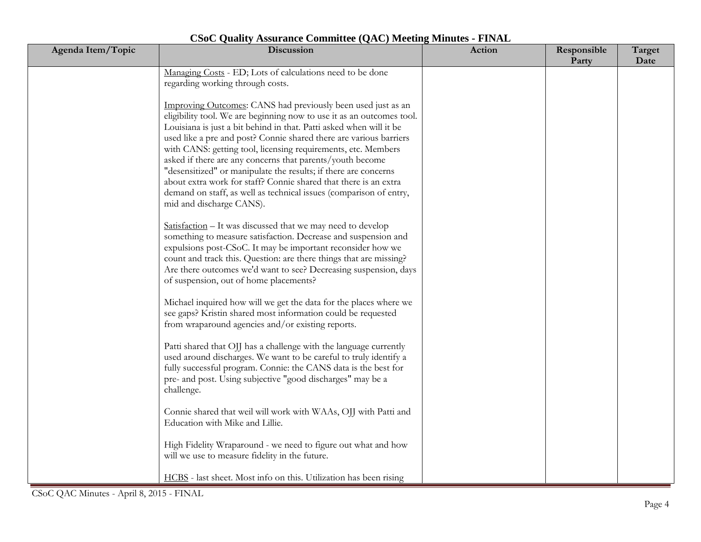| Agenda Item/Topic | Discussion                                                                                                                                                                                                                                                                                                                                                                                                                                                                                                                                                                                                                                                | <b>Action</b> | Responsible<br>Party | Target<br>Date |
|-------------------|-----------------------------------------------------------------------------------------------------------------------------------------------------------------------------------------------------------------------------------------------------------------------------------------------------------------------------------------------------------------------------------------------------------------------------------------------------------------------------------------------------------------------------------------------------------------------------------------------------------------------------------------------------------|---------------|----------------------|----------------|
|                   | Managing Costs - ED; Lots of calculations need to be done<br>regarding working through costs.                                                                                                                                                                                                                                                                                                                                                                                                                                                                                                                                                             |               |                      |                |
|                   | Improving Outcomes: CANS had previously been used just as an<br>eligibility tool. We are beginning now to use it as an outcomes tool.<br>Louisiana is just a bit behind in that. Patti asked when will it be<br>used like a pre and post? Connie shared there are various barriers<br>with CANS: getting tool, licensing requirements, etc. Members<br>asked if there are any concerns that parents/youth become<br>"desensitized" or manipulate the results; if there are concerns<br>about extra work for staff? Connie shared that there is an extra<br>demand on staff, as well as technical issues (comparison of entry,<br>mid and discharge CANS). |               |                      |                |
|                   | Satisfaction - It was discussed that we may need to develop<br>something to measure satisfaction. Decrease and suspension and<br>expulsions post-CSoC. It may be important reconsider how we<br>count and track this. Question: are there things that are missing?<br>Are there outcomes we'd want to see? Decreasing suspension, days<br>of suspension, out of home placements?                                                                                                                                                                                                                                                                          |               |                      |                |
|                   | Michael inquired how will we get the data for the places where we<br>see gaps? Kristin shared most information could be requested<br>from wraparound agencies and/or existing reports.                                                                                                                                                                                                                                                                                                                                                                                                                                                                    |               |                      |                |
|                   | Patti shared that OJJ has a challenge with the language currently<br>used around discharges. We want to be careful to truly identify a<br>fully successful program. Connie: the CANS data is the best for<br>pre- and post. Using subjective "good discharges" may be a<br>challenge.                                                                                                                                                                                                                                                                                                                                                                     |               |                      |                |
|                   | Connie shared that weil will work with WAAs, OJJ with Patti and<br>Education with Mike and Lillie.                                                                                                                                                                                                                                                                                                                                                                                                                                                                                                                                                        |               |                      |                |
|                   | High Fidelity Wraparound - we need to figure out what and how<br>will we use to measure fidelity in the future.                                                                                                                                                                                                                                                                                                                                                                                                                                                                                                                                           |               |                      |                |
|                   | HCBS - last sheet. Most info on this. Utilization has been rising                                                                                                                                                                                                                                                                                                                                                                                                                                                                                                                                                                                         |               |                      |                |